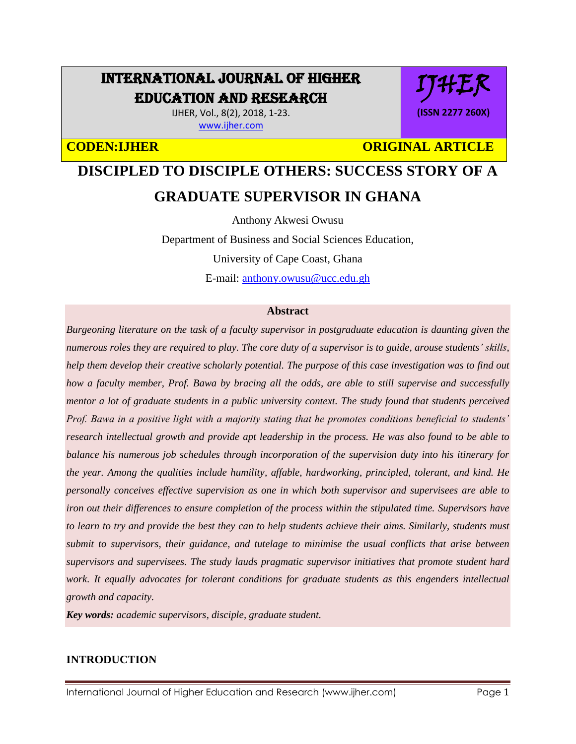# INTERNATIONAL JOURNAL OF HIGHER EDUCATION AND RESEARCH

IJHER, Vol., 8(2), 2018, 1-23. [www.ijher.com](http://www.ijher.com/)

IJHER **(ISSN 2277 260X)**

**CODEN:IJHER CODEN:IJHER** ORIGINAL ARTICLE

# **DISCIPLED TO DISCIPLE OTHERS: SUCCESS STORY OF A GRADUATE SUPERVISOR IN GHANA**

Anthony Akwesi Owusu

Department of Business and Social Sciences Education,

University of Cape Coast, Ghana

E-mail: [anthony.owusu@ucc.edu.gh](mailto:anthony.owusu@ucc.edu.gh)

#### **Abstract**

*Burgeoning literature on the task of a faculty supervisor in postgraduate education is daunting given the numerous roles they are required to play. The core duty of a supervisor is to guide, arouse students' skills, help them develop their creative scholarly potential. The purpose of this case investigation was to find out how a faculty member, Prof. Bawa by bracing all the odds, are able to still supervise and successfully mentor a lot of graduate students in a public university context. The study found that students perceived Prof. Bawa in a positive light with a majority stating that he promotes conditions beneficial to students' research intellectual growth and provide apt leadership in the process. He was also found to be able to balance his numerous job schedules through incorporation of the supervision duty into his itinerary for the year. Among the qualities include humility, affable, hardworking, principled, tolerant, and kind. He personally conceives effective supervision as one in which both supervisor and supervisees are able to iron out their differences to ensure completion of the process within the stipulated time. Supervisors have to learn to try and provide the best they can to help students achieve their aims. Similarly, students must submit to supervisors, their guidance, and tutelage to minimise the usual conflicts that arise between supervisors and supervisees. The study lauds pragmatic supervisor initiatives that promote student hard work. It equally advocates for tolerant conditions for graduate students as this engenders intellectual growth and capacity.*

*Key words: academic supervisors, disciple, graduate student.*

### **INTRODUCTION**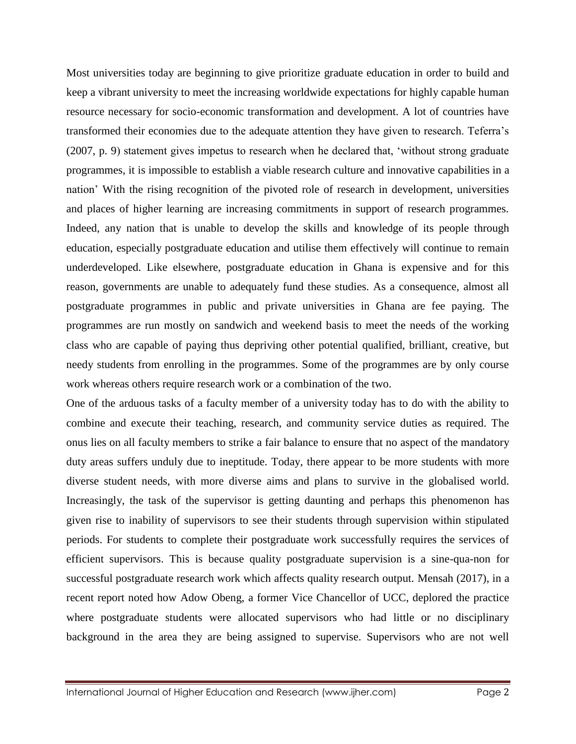Most universities today are beginning to give prioritize graduate education in order to build and keep a vibrant university to meet the increasing worldwide expectations for highly capable human resource necessary for socio-economic transformation and development. A lot of countries have transformed their economies due to the adequate attention they have given to research. Teferra's (2007, p. 9) statement gives impetus to research when he declared that, 'without strong graduate programmes, it is impossible to establish a viable research culture and innovative capabilities in a nation' With the rising recognition of the pivoted role of research in development, universities and places of higher learning are increasing commitments in support of research programmes. Indeed, any nation that is unable to develop the skills and knowledge of its people through education, especially postgraduate education and utilise them effectively will continue to remain underdeveloped. Like elsewhere, postgraduate education in Ghana is expensive and for this reason, governments are unable to adequately fund these studies. As a consequence, almost all postgraduate programmes in public and private universities in Ghana are fee paying. The programmes are run mostly on sandwich and weekend basis to meet the needs of the working class who are capable of paying thus depriving other potential qualified, brilliant, creative, but needy students from enrolling in the programmes. Some of the programmes are by only course work whereas others require research work or a combination of the two.

One of the arduous tasks of a faculty member of a university today has to do with the ability to combine and execute their teaching, research, and community service duties as required. The onus lies on all faculty members to strike a fair balance to ensure that no aspect of the mandatory duty areas suffers unduly due to ineptitude. Today, there appear to be more students with more diverse student needs, with more diverse aims and plans to survive in the globalised world. Increasingly, the task of the supervisor is getting daunting and perhaps this phenomenon has given rise to inability of supervisors to see their students through supervision within stipulated periods. For students to complete their postgraduate work successfully requires the services of efficient supervisors. This is because quality postgraduate supervision is a sine-qua-non for successful postgraduate research work which affects quality research output. Mensah (2017), in a recent report noted how Adow Obeng, a former Vice Chancellor of UCC, deplored the practice where postgraduate students were allocated supervisors who had little or no disciplinary background in the area they are being assigned to supervise. Supervisors who are not well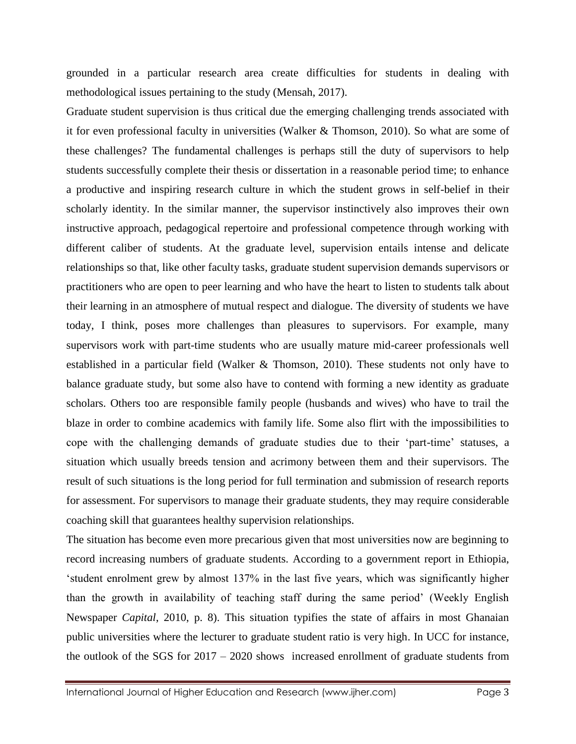grounded in a particular research area create difficulties for students in dealing with methodological issues pertaining to the study (Mensah, 2017).

Graduate student supervision is thus critical due the emerging challenging trends associated with it for even professional faculty in universities (Walker & Thomson, 2010). So what are some of these challenges? The fundamental challenges is perhaps still the duty of supervisors to help students successfully complete their thesis or dissertation in a reasonable period time; to enhance a productive and inspiring research culture in which the student grows in self-belief in their scholarly identity. In the similar manner, the supervisor instinctively also improves their own instructive approach, pedagogical repertoire and professional competence through working with different caliber of students. At the graduate level, supervision entails intense and delicate relationships so that, like other faculty tasks, graduate student supervision demands supervisors or practitioners who are open to peer learning and who have the heart to listen to students talk about their learning in an atmosphere of mutual respect and dialogue. The diversity of students we have today, I think, poses more challenges than pleasures to supervisors. For example, many supervisors work with part-time students who are usually mature mid-career professionals well established in a particular field (Walker & Thomson, 2010). These students not only have to balance graduate study, but some also have to contend with forming a new identity as graduate scholars. Others too are responsible family people (husbands and wives) who have to trail the blaze in order to combine academics with family life. Some also flirt with the impossibilities to cope with the challenging demands of graduate studies due to their 'part-time' statuses, a situation which usually breeds tension and acrimony between them and their supervisors. The result of such situations is the long period for full termination and submission of research reports for assessment. For supervisors to manage their graduate students, they may require considerable coaching skill that guarantees healthy supervision relationships.

The situation has become even more precarious given that most universities now are beginning to record increasing numbers of graduate students. According to a government report in Ethiopia, 'student enrolment grew by almost 137% in the last five years, which was significantly higher than the growth in availability of teaching staff during the same period' (Weekly English Newspaper *Capital*, 2010, p. 8). This situation typifies the state of affairs in most Ghanaian public universities where the lecturer to graduate student ratio is very high. In UCC for instance, the outlook of the SGS for 2017 – 2020 shows increased enrollment of graduate students from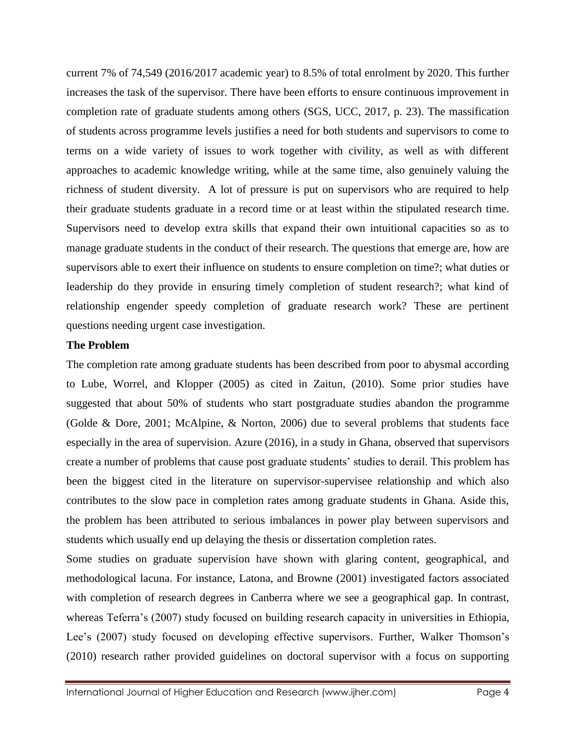current 7% of 74,549 (2016/2017 academic year) to 8.5% of total enrolment by 2020. This further increases the task of the supervisor. There have been efforts to ensure continuous improvement in completion rate of graduate students among others (SGS, UCC, 2017, p. 23). The massification of students across programme levels justifies a need for both students and supervisors to come to terms on a wide variety of issues to work together with civility, as well as with different approaches to academic knowledge writing, while at the same time, also genuinely valuing the richness of student diversity. A lot of pressure is put on supervisors who are required to help their graduate students graduate in a record time or at least within the stipulated research time. Supervisors need to develop extra skills that expand their own intuitional capacities so as to manage graduate students in the conduct of their research. The questions that emerge are, how are supervisors able to exert their influence on students to ensure completion on time?; what duties or leadership do they provide in ensuring timely completion of student research?; what kind of relationship engender speedy completion of graduate research work? These are pertinent questions needing urgent case investigation.

#### **The Problem**

The completion rate among graduate students has been described from poor to abysmal according to Lube, Worrel, and Klopper (2005) as cited in Zaitun, (2010). Some prior studies have suggested that about 50% of students who start postgraduate studies abandon the programme (Golde & Dore, 2001; McAlpine, & Norton, 2006) due to several problems that students face especially in the area of supervision. Azure (2016), in a study in Ghana, observed that supervisors create a number of problems that cause post graduate students' studies to derail. This problem has been the biggest cited in the literature on supervisor-supervisee relationship and which also contributes to the slow pace in completion rates among graduate students in Ghana. Aside this, the problem has been attributed to serious imbalances in power play between supervisors and students which usually end up delaying the thesis or dissertation completion rates.

Some studies on graduate supervision have shown with glaring content, geographical, and methodological lacuna. For instance, Latona, and Browne (2001) investigated factors associated with completion of research degrees in Canberra where we see a geographical gap. In contrast, whereas Teferra's (2007) study focused on building research capacity in universities in Ethiopia, Lee's (2007) study focused on developing effective supervisors. Further, Walker Thomson's (2010) research rather provided guidelines on doctoral supervisor with a focus on supporting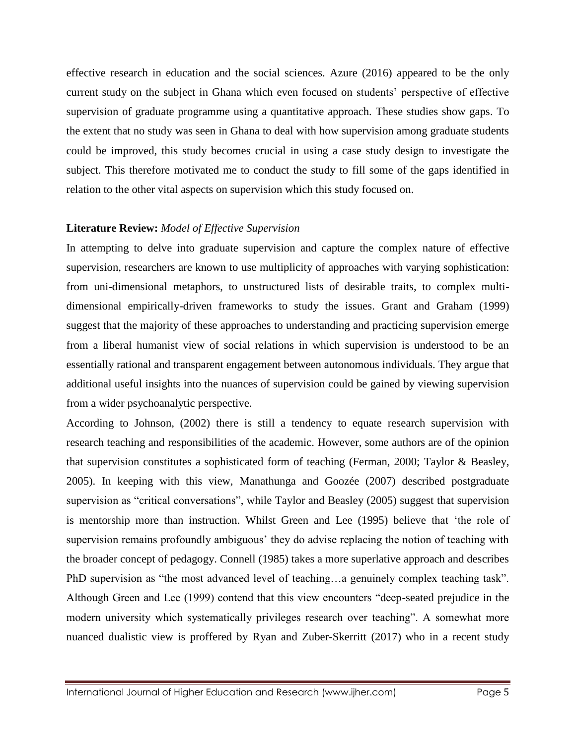effective research in education and the social sciences. Azure (2016) appeared to be the only current study on the subject in Ghana which even focused on students' perspective of effective supervision of graduate programme using a quantitative approach. These studies show gaps. To the extent that no study was seen in Ghana to deal with how supervision among graduate students could be improved, this study becomes crucial in using a case study design to investigate the subject. This therefore motivated me to conduct the study to fill some of the gaps identified in relation to the other vital aspects on supervision which this study focused on.

### **Literature Review:** *Model of Effective Supervision*

In attempting to delve into graduate supervision and capture the complex nature of effective supervision, researchers are known to use multiplicity of approaches with varying sophistication: from uni-dimensional metaphors, to unstructured lists of desirable traits, to complex multidimensional empirically-driven frameworks to study the issues. Grant and Graham (1999) suggest that the majority of these approaches to understanding and practicing supervision emerge from a liberal humanist view of social relations in which supervision is understood to be an essentially rational and transparent engagement between autonomous individuals. They argue that additional useful insights into the nuances of supervision could be gained by viewing supervision from a wider psychoanalytic perspective.

According to Johnson, (2002) there is still a tendency to equate research supervision with research teaching and responsibilities of the academic. However, some authors are of the opinion that supervision constitutes a sophisticated form of teaching (Ferman, 2000; Taylor & Beasley, 2005). In keeping with this view, Manathunga and Goozée (2007) described postgraduate supervision as "critical conversations", while Taylor and Beasley (2005) suggest that supervision is mentorship more than instruction. Whilst Green and Lee (1995) believe that 'the role of supervision remains profoundly ambiguous' they do advise replacing the notion of teaching with the broader concept of pedagogy. Connell (1985) takes a more superlative approach and describes PhD supervision as "the most advanced level of teaching…a genuinely complex teaching task". Although Green and Lee (1999) contend that this view encounters "deep-seated prejudice in the modern university which systematically privileges research over teaching". A somewhat more nuanced dualistic view is proffered by Ryan and Zuber-Skerritt (2017) who in a recent study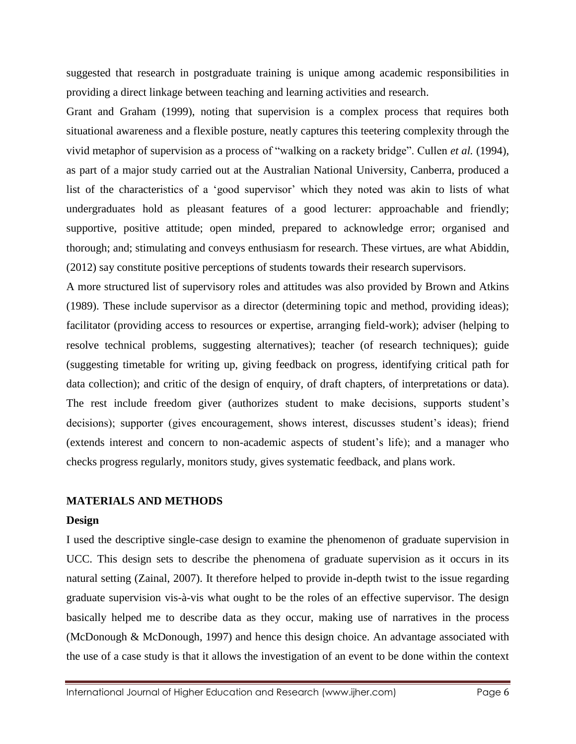suggested that research in postgraduate training is unique among academic responsibilities in providing a direct linkage between teaching and learning activities and research.

Grant and Graham (1999), noting that supervision is a complex process that requires both situational awareness and a flexible posture, neatly captures this teetering complexity through the vivid metaphor of supervision as a process of "walking on a rackety bridge". Cullen *et al.* (1994), as part of a major study carried out at the Australian National University, Canberra, produced a list of the characteristics of a 'good supervisor' which they noted was akin to lists of what undergraduates hold as pleasant features of a good lecturer: approachable and friendly; supportive, positive attitude; open minded, prepared to acknowledge error; organised and thorough; and; stimulating and conveys enthusiasm for research. These virtues, are what Abiddin, (2012) say constitute positive perceptions of students towards their research supervisors.

A more structured list of supervisory roles and attitudes was also provided by Brown and Atkins (1989). These include supervisor as a director (determining topic and method, providing ideas); facilitator (providing access to resources or expertise, arranging field-work); adviser (helping to resolve technical problems, suggesting alternatives); teacher (of research techniques); guide (suggesting timetable for writing up, giving feedback on progress, identifying critical path for data collection); and critic of the design of enquiry, of draft chapters, of interpretations or data). The rest include freedom giver (authorizes student to make decisions, supports student's decisions); supporter (gives encouragement, shows interest, discusses student's ideas); friend (extends interest and concern to non-academic aspects of student's life); and a manager who checks progress regularly, monitors study, gives systematic feedback, and plans work.

### **MATERIALS AND METHODS**

### **Design**

I used the descriptive single-case design to examine the phenomenon of graduate supervision in UCC. This design sets to describe the phenomena of graduate supervision as it occurs in its natural setting (Zainal, 2007). It therefore helped to provide in-depth twist to the issue regarding graduate supervision vis-à-vis what ought to be the roles of an effective supervisor. The design basically helped me to describe data as they occur, making use of narratives in the process (McDonough & McDonough, 1997) and hence this design choice. An advantage associated with the use of a case study is that it allows the investigation of an event to be done within the context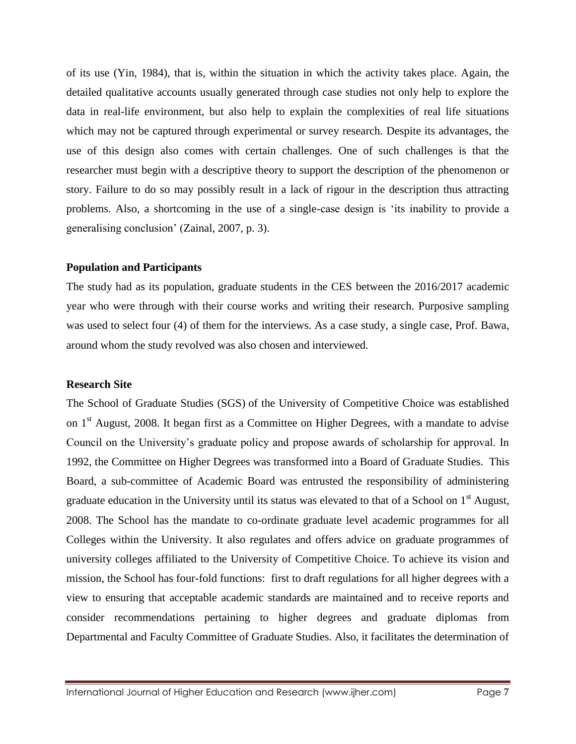of its use (Yin, 1984), that is, within the situation in which the activity takes place. Again, the detailed qualitative accounts usually generated through case studies not only help to explore the data in real-life environment, but also help to explain the complexities of real life situations which may not be captured through experimental or survey research. Despite its advantages, the use of this design also comes with certain challenges. One of such challenges is that the researcher must begin with a descriptive theory to support the description of the phenomenon or story. Failure to do so may possibly result in a lack of rigour in the description thus attracting problems. Also, a shortcoming in the use of a single-case design is 'its inability to provide a generalising conclusion' (Zainal, 2007, p. 3).

#### **Population and Participants**

The study had as its population, graduate students in the CES between the 2016/2017 academic year who were through with their course works and writing their research. Purposive sampling was used to select four (4) of them for the interviews. As a case study, a single case, Prof. Bawa, around whom the study revolved was also chosen and interviewed.

#### **Research Site**

The School of Graduate Studies (SGS) of the University of Competitive Choice was established on 1<sup>st</sup> August, 2008. It began first as a Committee on Higher Degrees, with a mandate to advise Council on the University's graduate policy and propose awards of scholarship for approval. In 1992, the Committee on Higher Degrees was transformed into a Board of Graduate Studies. This Board, a sub-committee of Academic Board was entrusted the responsibility of administering graduate education in the University until its status was elevated to that of a School on 1<sup>st</sup> August, 2008. The School has the mandate to co-ordinate graduate level academic programmes for all Colleges within the University. It also regulates and offers advice on graduate programmes of university colleges affiliated to the University of Competitive Choice. To achieve its vision and mission, the School has four-fold functions: first to draft regulations for all higher degrees with a view to ensuring that acceptable academic standards are maintained and to receive reports and consider recommendations pertaining to higher degrees and graduate diplomas from Departmental and Faculty Committee of Graduate Studies. Also, it facilitates the determination of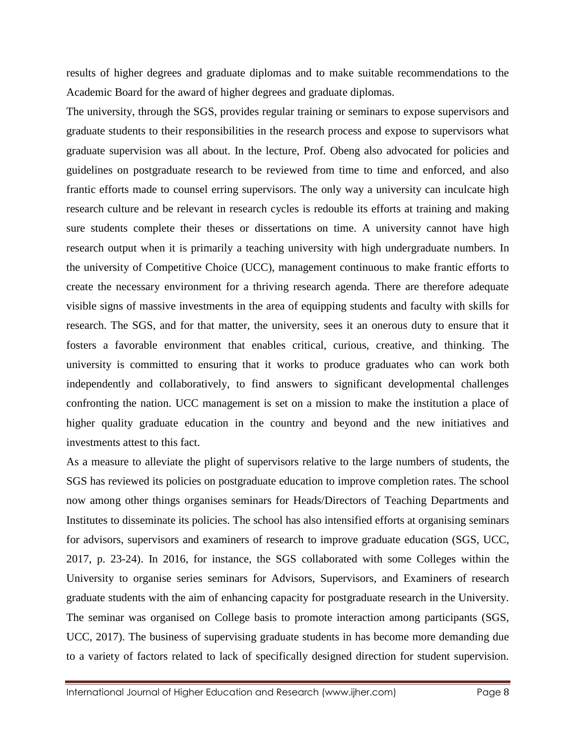results of higher degrees and graduate diplomas and to make suitable recommendations to the Academic Board for the award of higher degrees and graduate diplomas.

The university, through the SGS, provides regular training or seminars to expose supervisors and graduate students to their responsibilities in the research process and expose to supervisors what graduate supervision was all about. In the lecture, Prof. Obeng also advocated for policies and guidelines on postgraduate research to be reviewed from time to time and enforced, and also frantic efforts made to counsel erring supervisors. The only way a university can inculcate high research culture and be relevant in research cycles is redouble its efforts at training and making sure students complete their theses or dissertations on time. A university cannot have high research output when it is primarily a teaching university with high undergraduate numbers. In the university of Competitive Choice (UCC), management continuous to make frantic efforts to create the necessary environment for a thriving research agenda. There are therefore adequate visible signs of massive investments in the area of equipping students and faculty with skills for research. The SGS, and for that matter, the university, sees it an onerous duty to ensure that it fosters a favorable environment that enables critical, curious, creative, and thinking. The university is committed to ensuring that it works to produce graduates who can work both independently and collaboratively, to find answers to significant developmental challenges confronting the nation. UCC management is set on a mission to make the institution a place of higher quality graduate education in the country and beyond and the new initiatives and investments attest to this fact.

As a measure to alleviate the plight of supervisors relative to the large numbers of students, the SGS has reviewed its policies on postgraduate education to improve completion rates. The school now among other things organises seminars for Heads/Directors of Teaching Departments and Institutes to disseminate its policies. The school has also intensified efforts at organising seminars for advisors, supervisors and examiners of research to improve graduate education (SGS, UCC, 2017, p. 23-24). In 2016, for instance, the SGS collaborated with some Colleges within the University to organise series seminars for Advisors, Supervisors, and Examiners of research graduate students with the aim of enhancing capacity for postgraduate research in the University. The seminar was organised on College basis to promote interaction among participants (SGS, UCC, 2017). The business of supervising graduate students in has become more demanding due to a variety of factors related to lack of specifically designed direction for student supervision.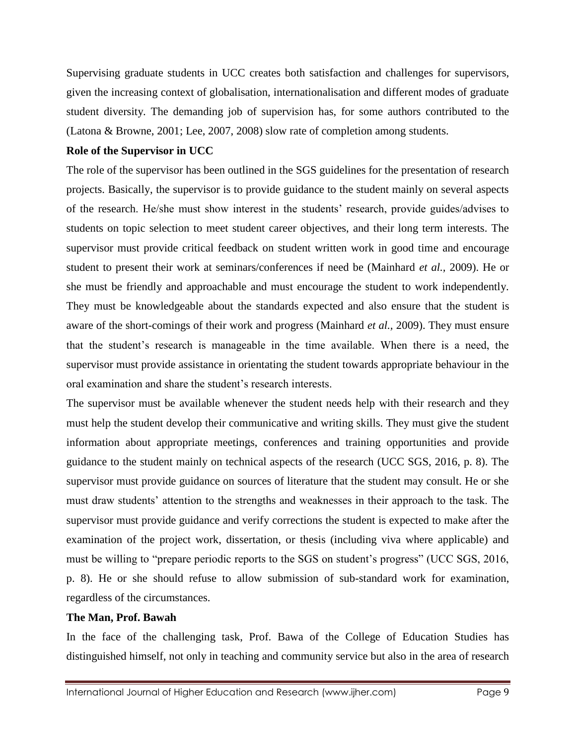Supervising graduate students in UCC creates both satisfaction and challenges for supervisors, given the increasing context of globalisation, internationalisation and different modes of graduate student diversity. The demanding job of supervision has, for some authors contributed to the (Latona & Browne, 2001; Lee, 2007, 2008) slow rate of completion among students.

#### **Role of the Supervisor in UCC**

The role of the supervisor has been outlined in the SGS guidelines for the presentation of research projects. Basically, the supervisor is to provide guidance to the student mainly on several aspects of the research. He/she must show interest in the students' research, provide guides/advises to students on topic selection to meet student career objectives, and their long term interests. The supervisor must provide critical feedback on student written work in good time and encourage student to present their work at seminars/conferences if need be (Mainhard *et al.,* 2009). He or she must be friendly and approachable and must encourage the student to work independently. They must be knowledgeable about the standards expected and also ensure that the student is aware of the short-comings of their work and progress (Mainhard *et al.,* 2009). They must ensure that the student's research is manageable in the time available. When there is a need, the supervisor must provide assistance in orientating the student towards appropriate behaviour in the oral examination and share the student's research interests.

The supervisor must be available whenever the student needs help with their research and they must help the student develop their communicative and writing skills. They must give the student information about appropriate meetings, conferences and training opportunities and provide guidance to the student mainly on technical aspects of the research (UCC SGS, 2016, p. 8). The supervisor must provide guidance on sources of literature that the student may consult. He or she must draw students' attention to the strengths and weaknesses in their approach to the task. The supervisor must provide guidance and verify corrections the student is expected to make after the examination of the project work, dissertation, or thesis (including viva where applicable) and must be willing to "prepare periodic reports to the SGS on student's progress" (UCC SGS, 2016, p. 8). He or she should refuse to allow submission of sub-standard work for examination, regardless of the circumstances.

### **The Man, Prof. Bawah**

In the face of the challenging task, Prof. Bawa of the College of Education Studies has distinguished himself, not only in teaching and community service but also in the area of research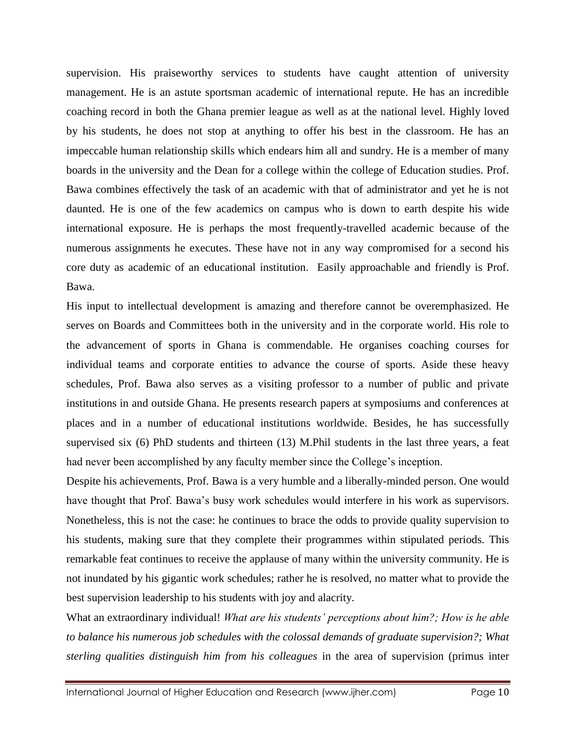supervision. His praiseworthy services to students have caught attention of university management. He is an astute sportsman academic of international repute. He has an incredible coaching record in both the Ghana premier league as well as at the national level. Highly loved by his students, he does not stop at anything to offer his best in the classroom. He has an impeccable human relationship skills which endears him all and sundry. He is a member of many boards in the university and the Dean for a college within the college of Education studies. Prof. Bawa combines effectively the task of an academic with that of administrator and yet he is not daunted. He is one of the few academics on campus who is down to earth despite his wide international exposure. He is perhaps the most frequently-travelled academic because of the numerous assignments he executes. These have not in any way compromised for a second his core duty as academic of an educational institution. Easily approachable and friendly is Prof. Bawa.

His input to intellectual development is amazing and therefore cannot be overemphasized. He serves on Boards and Committees both in the university and in the corporate world. His role to the advancement of sports in Ghana is commendable. He organises coaching courses for individual teams and corporate entities to advance the course of sports. Aside these heavy schedules, Prof. Bawa also serves as a visiting professor to a number of public and private institutions in and outside Ghana. He presents research papers at symposiums and conferences at places and in a number of educational institutions worldwide. Besides, he has successfully supervised six (6) PhD students and thirteen (13) M.Phil students in the last three years, a feat had never been accomplished by any faculty member since the College's inception.

Despite his achievements, Prof. Bawa is a very humble and a liberally-minded person. One would have thought that Prof. Bawa's busy work schedules would interfere in his work as supervisors. Nonetheless, this is not the case: he continues to brace the odds to provide quality supervision to his students, making sure that they complete their programmes within stipulated periods. This remarkable feat continues to receive the applause of many within the university community. He is not inundated by his gigantic work schedules; rather he is resolved, no matter what to provide the best supervision leadership to his students with joy and alacrity.

What an extraordinary individual! *What are his students' perceptions about him?; How is he able to balance his numerous job schedules with the colossal demands of graduate supervision?; What sterling qualities distinguish him from his colleagues* in the area of supervision (primus inter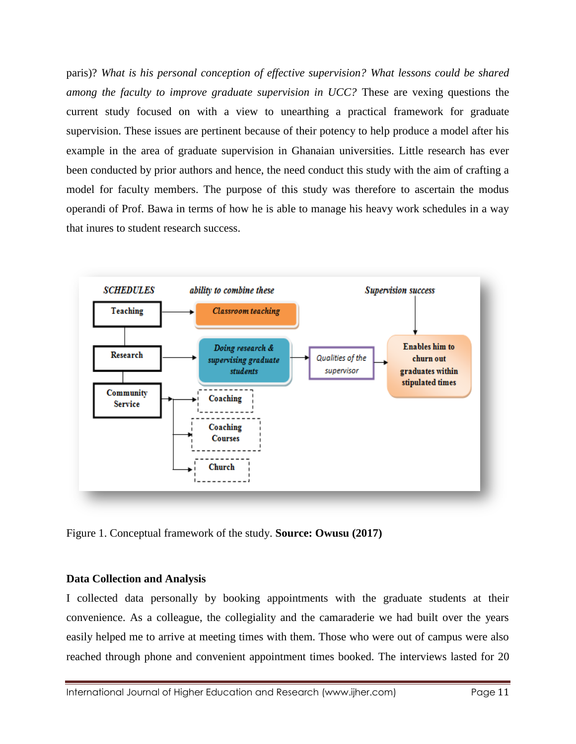paris)? *What is his personal conception of effective supervision? What lessons could be shared among the faculty to improve graduate supervision in UCC?* These are vexing questions the current study focused on with a view to unearthing a practical framework for graduate supervision. These issues are pertinent because of their potency to help produce a model after his example in the area of graduate supervision in Ghanaian universities. Little research has ever been conducted by prior authors and hence, the need conduct this study with the aim of crafting a model for faculty members. The purpose of this study was therefore to ascertain the modus operandi of Prof. Bawa in terms of how he is able to manage his heavy work schedules in a way that inures to student research success.



Figure 1. Conceptual framework of the study. **Source: Owusu (2017)**

### **Data Collection and Analysis**

I collected data personally by booking appointments with the graduate students at their convenience. As a colleague, the collegiality and the camaraderie we had built over the years easily helped me to arrive at meeting times with them. Those who were out of campus were also reached through phone and convenient appointment times booked. The interviews lasted for 20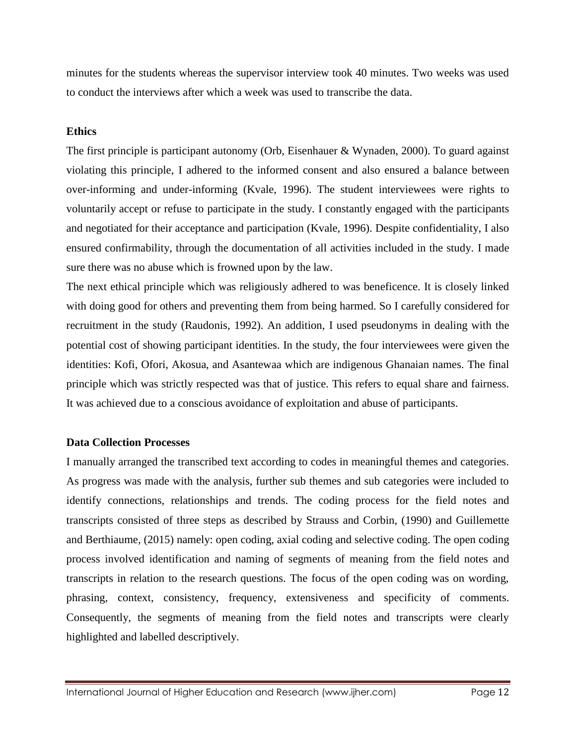minutes for the students whereas the supervisor interview took 40 minutes. Two weeks was used to conduct the interviews after which a week was used to transcribe the data.

#### **Ethics**

The first principle is participant autonomy (Orb, Eisenhauer & Wynaden, 2000). To guard against violating this principle, I adhered to the informed consent and also ensured a balance between over-informing and under-informing (Kvale, 1996). The student interviewees were rights to voluntarily accept or refuse to participate in the study. I constantly engaged with the participants and negotiated for their acceptance and participation (Kvale, 1996). Despite confidentiality, I also ensured confirmability, through the documentation of all activities included in the study. I made sure there was no abuse which is frowned upon by the law.

The next ethical principle which was religiously adhered to was beneficence. It is closely linked with doing good for others and preventing them from being harmed. So I carefully considered for recruitment in the study (Raudonis, 1992). An addition, I used pseudonyms in dealing with the potential cost of showing participant identities. In the study, the four interviewees were given the identities: Kofi, Ofori, Akosua, and Asantewaa which are indigenous Ghanaian names. The final principle which was strictly respected was that of justice. This refers to equal share and fairness. It was achieved due to a conscious avoidance of exploitation and abuse of participants.

### **Data Collection Processes**

I manually arranged the transcribed text according to codes in meaningful themes and categories. As progress was made with the analysis, further sub themes and sub categories were included to identify connections, relationships and trends. The coding process for the field notes and transcripts consisted of three steps as described by Strauss and Corbin, (1990) and Guillemette and Berthiaume, (2015) namely: open coding, axial coding and selective coding. The open coding process involved identification and naming of segments of meaning from the field notes and transcripts in relation to the research questions. The focus of the open coding was on wording, phrasing, context, consistency, frequency, extensiveness and specificity of comments. Consequently, the segments of meaning from the field notes and transcripts were clearly highlighted and labelled descriptively.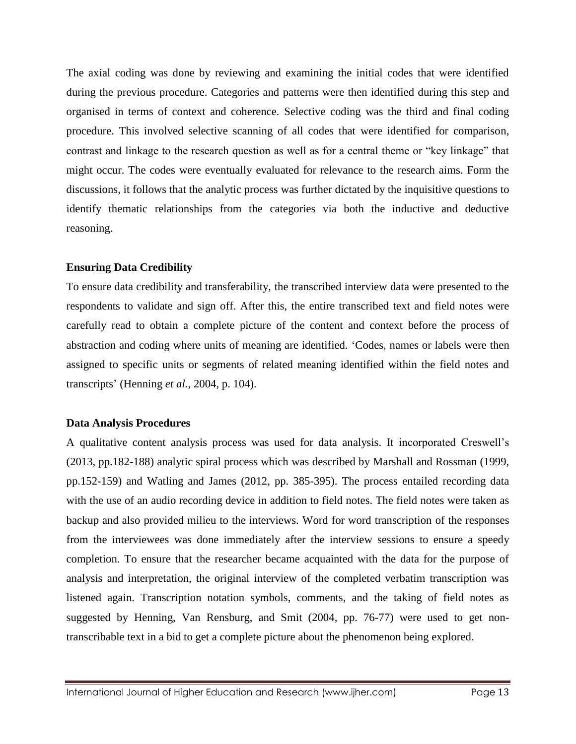The axial coding was done by reviewing and examining the initial codes that were identified during the previous procedure. Categories and patterns were then identified during this step and organised in terms of context and coherence. Selective coding was the third and final coding procedure. This involved selective scanning of all codes that were identified for comparison, contrast and linkage to the research question as well as for a central theme or "key linkage" that might occur. The codes were eventually evaluated for relevance to the research aims. Form the discussions, it follows that the analytic process was further dictated by the inquisitive questions to identify thematic relationships from the categories via both the inductive and deductive reasoning.

#### **Ensuring Data Credibility**

To ensure data credibility and transferability, the transcribed interview data were presented to the respondents to validate and sign off. After this, the entire transcribed text and field notes were carefully read to obtain a complete picture of the content and context before the process of abstraction and coding where units of meaning are identified. 'Codes*,* names or labels were then assigned to specific units or segments of related meaning identified within the field notes and transcripts' (Henning *et al.*, 2004, p. 104).

### **Data Analysis Procedures**

A qualitative content analysis process was used for data analysis. It incorporated Creswell's (2013, pp.182-188) analytic spiral process which was described by Marshall and Rossman (1999, pp.152-159) and Watling and James (2012, pp. 385-395). The process entailed recording data with the use of an audio recording device in addition to field notes. The field notes were taken as backup and also provided milieu to the interviews. Word for word transcription of the responses from the interviewees was done immediately after the interview sessions to ensure a speedy completion. To ensure that the researcher became acquainted with the data for the purpose of analysis and interpretation, the original interview of the completed verbatim transcription was listened again. Transcription notation symbols, comments, and the taking of field notes as suggested by Henning, Van Rensburg, and Smit (2004, pp. 76-77) were used to get nontranscribable text in a bid to get a complete picture about the phenomenon being explored.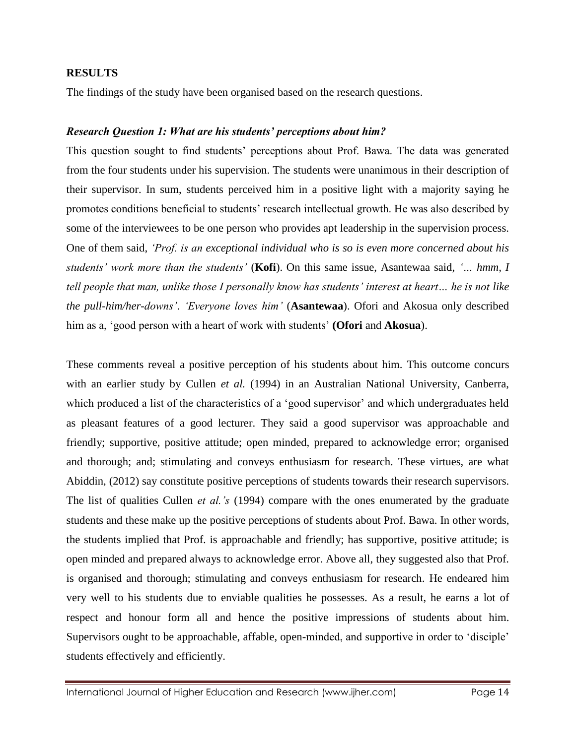#### **RESULTS**

The findings of the study have been organised based on the research questions.

#### *Research Question 1: What are his students' perceptions about him?*

This question sought to find students' perceptions about Prof. Bawa. The data was generated from the four students under his supervision. The students were unanimous in their description of their supervisor. In sum, students perceived him in a positive light with a majority saying he promotes conditions beneficial to students' research intellectual growth. He was also described by some of the interviewees to be one person who provides apt leadership in the supervision process. One of them said, *'Prof. is an exceptional individual who is so is even more concerned about his students' work more than the students'* (**Kofi**). On this same issue, Asantewaa said, *'… hmm, I tell people that man, unlike those I personally know has students' interest at heart… he is not like the pull-him/her-downs'*. *'Everyone loves him'* (**Asantewaa**). Ofori and Akosua only described him as a, 'good person with a heart of work with students' **(Ofori** and **Akosua**).

These comments reveal a positive perception of his students about him. This outcome concurs with an earlier study by Cullen *et al.* (1994) in an Australian National University, Canberra, which produced a list of the characteristics of a 'good supervisor' and which undergraduates held as pleasant features of a good lecturer. They said a good supervisor was approachable and friendly; supportive, positive attitude; open minded, prepared to acknowledge error; organised and thorough; and; stimulating and conveys enthusiasm for research. These virtues, are what Abiddin, (2012) say constitute positive perceptions of students towards their research supervisors. The list of qualities Cullen *et al.'s* (1994) compare with the ones enumerated by the graduate students and these make up the positive perceptions of students about Prof. Bawa. In other words, the students implied that Prof. is approachable and friendly; has supportive, positive attitude; is open minded and prepared always to acknowledge error. Above all, they suggested also that Prof. is organised and thorough; stimulating and conveys enthusiasm for research. He endeared him very well to his students due to enviable qualities he possesses. As a result, he earns a lot of respect and honour form all and hence the positive impressions of students about him. Supervisors ought to be approachable, affable, open-minded, and supportive in order to 'disciple' students effectively and efficiently.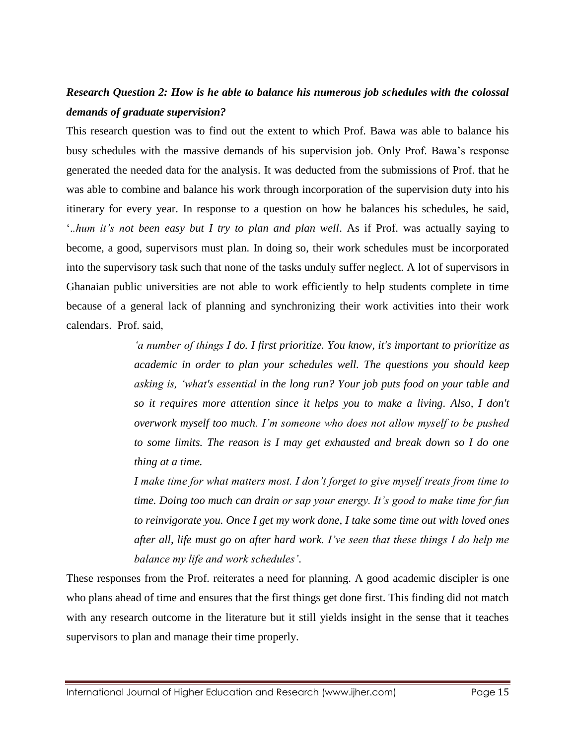## *Research Question 2: How is he able to balance his numerous job schedules with the colossal demands of graduate supervision?*

This research question was to find out the extent to which Prof. Bawa was able to balance his busy schedules with the massive demands of his supervision job. Only Prof. Bawa's response generated the needed data for the analysis. It was deducted from the submissions of Prof. that he was able to combine and balance his work through incorporation of the supervision duty into his itinerary for every year. In response to a question on how he balances his schedules, he said, '.*.hum it's not been easy but I try to plan and plan well*. As if Prof. was actually saying to become, a good, supervisors must plan. In doing so, their work schedules must be incorporated into the supervisory task such that none of the tasks unduly suffer neglect. A lot of supervisors in Ghanaian public universities are not able to work efficiently to help students complete in time because of a general lack of planning and synchronizing their work activities into their work calendars. Prof. said,

> *'a number of things I do. I first prioritize. You know, it's important to prioritize as academic in order to plan your schedules well. The questions you should keep asking is, 'what's essential in the long run? Your job puts food on your table and so it requires more attention since it helps you to make a living. Also, I don't overwork myself too much. I'm someone who does not allow myself to be pushed to some limits. The reason is I may get exhausted and break down so I do one thing at a time.*

> *I make time for what matters most. I don't forget to give myself treats from time to time. Doing too much can drain or sap your energy. It's good to make time for fun to reinvigorate you. Once I get my work done, I take some time out with loved ones after all, life must go on after hard work. I've seen that these things I do help me balance my life and work schedules'*.

These responses from the Prof. reiterates a need for planning. A good academic discipler is one who plans ahead of time and ensures that the first things get done first. This finding did not match with any research outcome in the literature but it still yields insight in the sense that it teaches supervisors to plan and manage their time properly.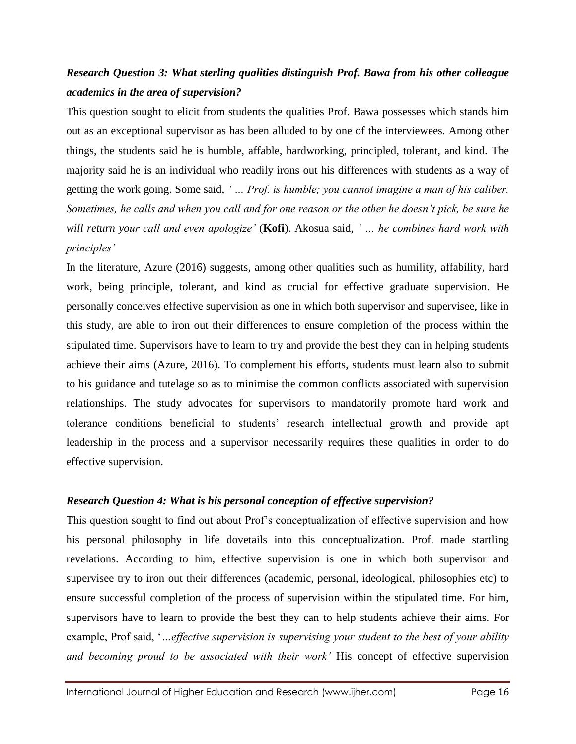# *Research Question 3: What sterling qualities distinguish Prof. Bawa from his other colleague academics in the area of supervision?*

This question sought to elicit from students the qualities Prof. Bawa possesses which stands him out as an exceptional supervisor as has been alluded to by one of the interviewees. Among other things, the students said he is humble, affable, hardworking, principled, tolerant, and kind. The majority said he is an individual who readily irons out his differences with students as a way of getting the work going. Some said, *' … Prof. is humble; you cannot imagine a man of his caliber. Sometimes, he calls and when you call and for one reason or the other he doesn't pick, be sure he will return your call and even apologize'* (**Kofi**). Akosua said, *' … he combines hard work with principles'*

In the literature, Azure (2016) suggests, among other qualities such as humility, affability, hard work, being principle, tolerant, and kind as crucial for effective graduate supervision. He personally conceives effective supervision as one in which both supervisor and supervisee, like in this study, are able to iron out their differences to ensure completion of the process within the stipulated time. Supervisors have to learn to try and provide the best they can in helping students achieve their aims (Azure, 2016). To complement his efforts, students must learn also to submit to his guidance and tutelage so as to minimise the common conflicts associated with supervision relationships. The study advocates for supervisors to mandatorily promote hard work and tolerance conditions beneficial to students' research intellectual growth and provide apt leadership in the process and a supervisor necessarily requires these qualities in order to do effective supervision.

### *Research Question 4: What is his personal conception of effective supervision?*

This question sought to find out about Prof's conceptualization of effective supervision and how his personal philosophy in life dovetails into this conceptualization. Prof. made startling revelations. According to him, effective supervision is one in which both supervisor and supervisee try to iron out their differences (academic, personal, ideological, philosophies etc) to ensure successful completion of the process of supervision within the stipulated time. For him, supervisors have to learn to provide the best they can to help students achieve their aims. For example, Prof said, '*…effective supervision is supervising your student to the best of your ability and becoming proud to be associated with their work'* His concept of effective supervision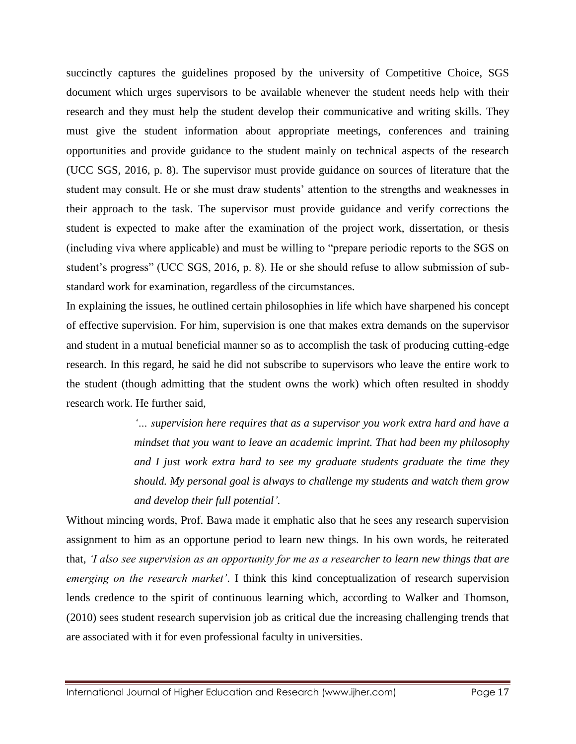succinctly captures the guidelines proposed by the university of Competitive Choice, SGS document which urges supervisors to be available whenever the student needs help with their research and they must help the student develop their communicative and writing skills. They must give the student information about appropriate meetings, conferences and training opportunities and provide guidance to the student mainly on technical aspects of the research (UCC SGS, 2016, p. 8). The supervisor must provide guidance on sources of literature that the student may consult. He or she must draw students' attention to the strengths and weaknesses in their approach to the task. The supervisor must provide guidance and verify corrections the student is expected to make after the examination of the project work, dissertation, or thesis (including viva where applicable) and must be willing to "prepare periodic reports to the SGS on student's progress" (UCC SGS, 2016, p. 8). He or she should refuse to allow submission of substandard work for examination, regardless of the circumstances.

In explaining the issues, he outlined certain philosophies in life which have sharpened his concept of effective supervision. For him, supervision is one that makes extra demands on the supervisor and student in a mutual beneficial manner so as to accomplish the task of producing cutting-edge research. In this regard, he said he did not subscribe to supervisors who leave the entire work to the student (though admitting that the student owns the work) which often resulted in shoddy research work. He further said,

> *'… supervision here requires that as a supervisor you work extra hard and have a mindset that you want to leave an academic imprint. That had been my philosophy and I just work extra hard to see my graduate students graduate the time they should. My personal goal is always to challenge my students and watch them grow and develop their full potential'.*

Without mincing words, Prof. Bawa made it emphatic also that he sees any research supervision assignment to him as an opportune period to learn new things. In his own words, he reiterated that, *'I also see supervision as an opportunity for me as a researcher to learn new things that are emerging on the research market'*. I think this kind conceptualization of research supervision lends credence to the spirit of continuous learning which, according to Walker and Thomson, (2010) sees student research supervision job as critical due the increasing challenging trends that are associated with it for even professional faculty in universities.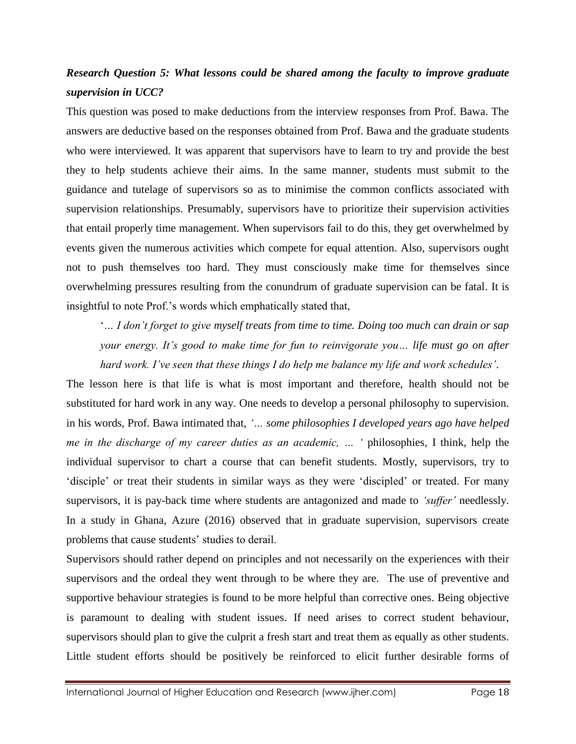# *Research Question 5: What lessons could be shared among the faculty to improve graduate supervision in UCC?*

This question was posed to make deductions from the interview responses from Prof. Bawa. The answers are deductive based on the responses obtained from Prof. Bawa and the graduate students who were interviewed. It was apparent that supervisors have to learn to try and provide the best they to help students achieve their aims. In the same manner, students must submit to the guidance and tutelage of supervisors so as to minimise the common conflicts associated with supervision relationships. Presumably, supervisors have to prioritize their supervision activities that entail properly time management. When supervisors fail to do this, they get overwhelmed by events given the numerous activities which compete for equal attention. Also, supervisors ought not to push themselves too hard. They must consciously make time for themselves since overwhelming pressures resulting from the conundrum of graduate supervision can be fatal. It is insightful to note Prof.'s words which emphatically stated that,

'*… I don't forget to give myself treats from time to time. Doing too much can drain or sap your energy. It's good to make time for fun to reinvigorate you… life must go on after hard work. I've seen that these things I do help me balance my life and work schedules'*.

The lesson here is that life is what is most important and therefore, health should not be substituted for hard work in any way. One needs to develop a personal philosophy to supervision. in his words, Prof. Bawa intimated that, *'… some philosophies I developed years ago have helped me in the discharge of my career duties as an academic, … '* philosophies, I think, help the individual supervisor to chart a course that can benefit students. Mostly, supervisors, try to 'disciple' or treat their students in similar ways as they were 'discipled' or treated. For many supervisors, it is pay-back time where students are antagonized and made to *'suffer'* needlessly. In a study in Ghana, Azure (2016) observed that in graduate supervision, supervisors create problems that cause students' studies to derail.

Supervisors should rather depend on principles and not necessarily on the experiences with their supervisors and the ordeal they went through to be where they are. The use of preventive and supportive behaviour strategies is found to be more helpful than corrective ones. Being objective is paramount to dealing with student issues. If need arises to correct student behaviour, supervisors should plan to give the culprit a fresh start and treat them as equally as other students. Little student efforts should be positively be reinforced to elicit further desirable forms of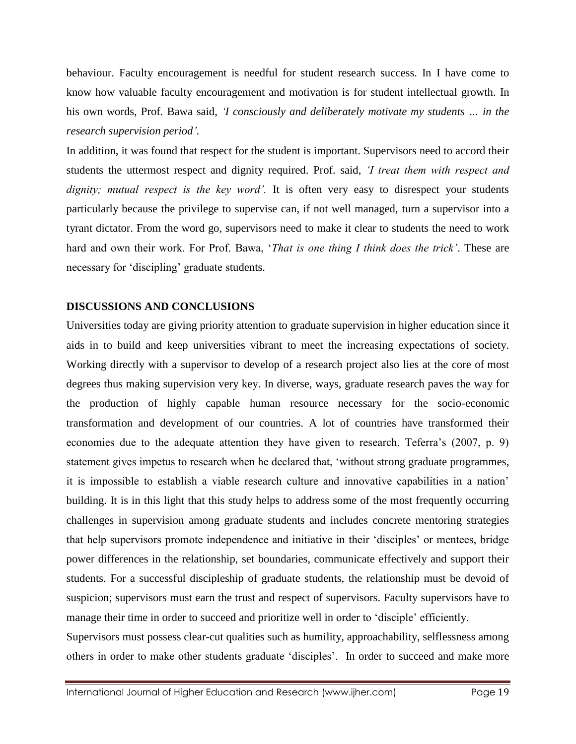behaviour. Faculty encouragement is needful for student research success. In I have come to know how valuable faculty encouragement and motivation is for student intellectual growth. In his own words, Prof. Bawa said, *'I consciously and deliberately motivate my students … in the research supervision period'.*

In addition, it was found that respect for the student is important. Supervisors need to accord their students the uttermost respect and dignity required. Prof. said, *'I treat them with respect and dignity; mutual respect is the key word'.* It is often very easy to disrespect your students particularly because the privilege to supervise can, if not well managed, turn a supervisor into a tyrant dictator. From the word go, supervisors need to make it clear to students the need to work hard and own their work. For Prof. Bawa, '*That is one thing I think does the trick'*. These are necessary for 'discipling' graduate students.

#### **DISCUSSIONS AND CONCLUSIONS**

Universities today are giving priority attention to graduate supervision in higher education since it aids in to build and keep universities vibrant to meet the increasing expectations of society. Working directly with a supervisor to develop of a research project also lies at the core of most degrees thus making supervision very key. In diverse, ways, graduate research paves the way for the production of highly capable human resource necessary for the socio-economic transformation and development of our countries. A lot of countries have transformed their economies due to the adequate attention they have given to research. Teferra's (2007, p. 9) statement gives impetus to research when he declared that, 'without strong graduate programmes, it is impossible to establish a viable research culture and innovative capabilities in a nation' building. It is in this light that this study helps to address some of the most frequently occurring challenges in supervision among graduate students and includes concrete mentoring strategies that help supervisors promote independence and initiative in their 'disciples' or mentees, bridge power differences in the relationship, set boundaries, communicate effectively and support their students. For a successful discipleship of graduate students, the relationship must be devoid of suspicion; supervisors must earn the trust and respect of supervisors. Faculty supervisors have to manage their time in order to succeed and prioritize well in order to 'disciple' efficiently.

Supervisors must possess clear-cut qualities such as humility, approachability, selflessness among others in order to make other students graduate 'disciples'. In order to succeed and make more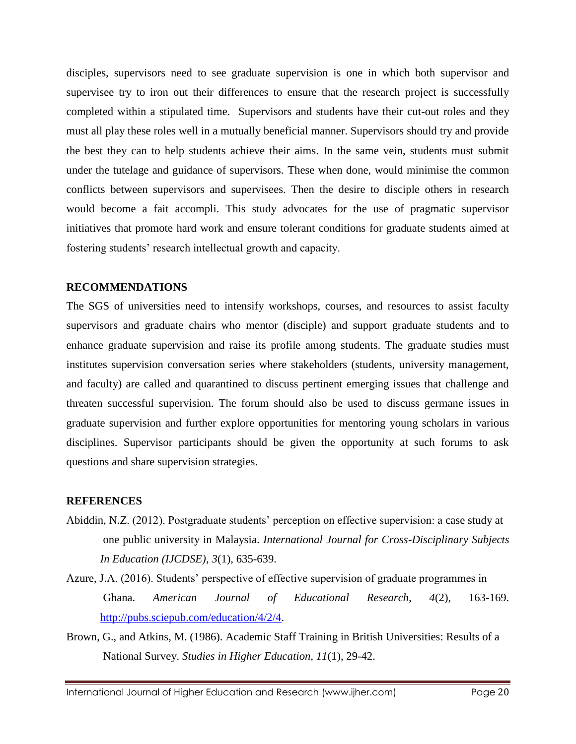disciples, supervisors need to see graduate supervision is one in which both supervisor and supervisee try to iron out their differences to ensure that the research project is successfully completed within a stipulated time. Supervisors and students have their cut-out roles and they must all play these roles well in a mutually beneficial manner. Supervisors should try and provide the best they can to help students achieve their aims. In the same vein, students must submit under the tutelage and guidance of supervisors. These when done, would minimise the common conflicts between supervisors and supervisees. Then the desire to disciple others in research would become a fait accompli. This study advocates for the use of pragmatic supervisor initiatives that promote hard work and ensure tolerant conditions for graduate students aimed at fostering students' research intellectual growth and capacity.

#### **RECOMMENDATIONS**

The SGS of universities need to intensify workshops, courses, and resources to assist faculty supervisors and graduate chairs who mentor (disciple) and support graduate students and to enhance graduate supervision and raise its profile among students. The graduate studies must institutes supervision conversation series where stakeholders (students, university management, and faculty) are called and quarantined to discuss pertinent emerging issues that challenge and threaten successful supervision. The forum should also be used to discuss germane issues in graduate supervision and further explore opportunities for mentoring young scholars in various disciplines. Supervisor participants should be given the opportunity at such forums to ask questions and share supervision strategies.

### **REFERENCES**

- Abiddin, N.Z. (2012). Postgraduate students' perception on effective supervision: a case study at one public university in Malaysia. *International Journal for Cross-Disciplinary Subjects In Education (IJCDSE), 3*(1), 635-639.
- Azure, J.A. (2016). Students' perspective of effective supervision of graduate programmes in Ghana. *American Journal of Educational Research*, *4*(2), 163-169. [http://pubs.sciepub.com/education/4/2/4.](http://pubs.sciepub.com/education/4/2/4)
- Brown, G., and Atkins, M. (1986). Academic Staff Training in British Universities: Results of a National Survey. *Studies in Higher Education, 11*(1), 29-42.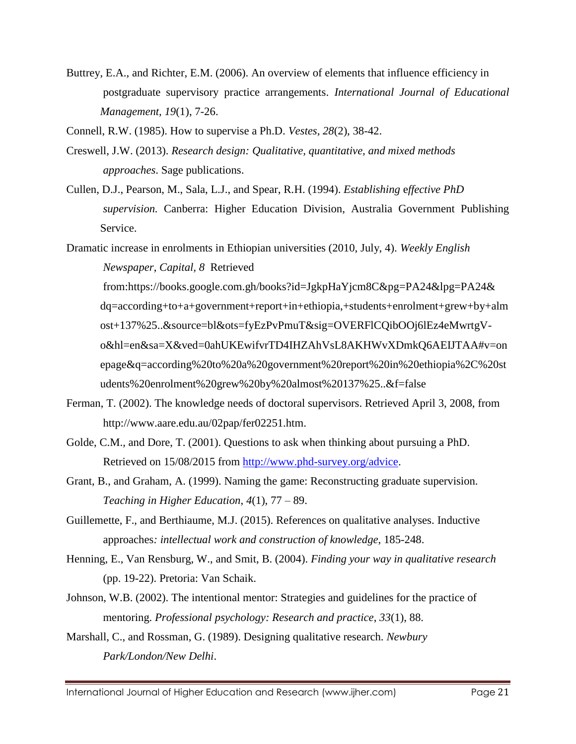Buttrey, E.A., and Richter, E.M. (2006). An overview of elements that influence efficiency in postgraduate supervisory practice arrangements. *International Journal of Educational Management, 19*(1), 7-26.

Connell, R.W. (1985). How to supervise a Ph.D. *Vestes, 28*(2), 38-42.

- Creswell, J.W. (2013). *Research design: Qualitative, quantitative, and mixed methods approaches*. Sage publications.
- Cullen, D.J., Pearson, M., Sala, L.J., and Spear, R.H. (1994). *Establishing* e*ffective PhD supervision.* Canberra: Higher Education Division, Australia Government Publishing Service.

Dramatic increase in enrolments in Ethiopian universities (2010, July, 4). *Weekly English*

*Newspaper*, *Capital, 8* Retrieved

from:https://books.google.com.gh/books?id=JgkpHaYjcm8C&pg=PA24&lpg=PA24& dq=according+to+a+government+report+in+ethiopia,+students+enrolment+grew+by+alm ost+137%25..&source=bl&ots=fyEzPvPmuT&sig=OVERFlCQibOOj6lEz4eMwrtgVo&hl=en&sa=X&ved=0ahUKEwifvrTD4IHZAhVsL8AKHWvXDmkQ6AEIJTAA#v=on epage&q=according%20to%20a%20government%20report%20in%20ethiopia%2C%20st udents%20enrolment%20grew%20by%20almost%20137%25..&f=false

- Ferman, T. (2002). The knowledge needs of doctoral supervisors. Retrieved April 3, 2008, from http://www.aare.edu.au/02pap/fer02251.htm.
- Golde, C.M., and Dore, T. (2001). Questions to ask when thinking about pursuing a PhD. Retrieved on 15/08/2015 from [http://www.phd-survey.org/advice.](http://www.phd-survey.org/advice)
- Grant, B., and Graham, A. (1999). Naming the game: Reconstructing graduate supervision. *Teaching in Higher Education*, *4*(1), 77 – 89.
- Guillemette, F., and Berthiaume, M.J. (2015). References on qualitative analyses. Inductive approaches*: intellectual work and construction of knowledge*, 185-248.
- Henning, E., Van Rensburg, W., and Smit, B. (2004). *Finding your way in qualitative research* (pp. 19-22). Pretoria: Van Schaik.
- Johnson, W.B. (2002). The intentional mentor: Strategies and guidelines for the practice of mentoring. *Professional psychology: Research and practice*, *33*(1), 88.
- Marshall, C., and Rossman, G. (1989). Designing qualitative research. *Newbury Park/London/New Delhi*.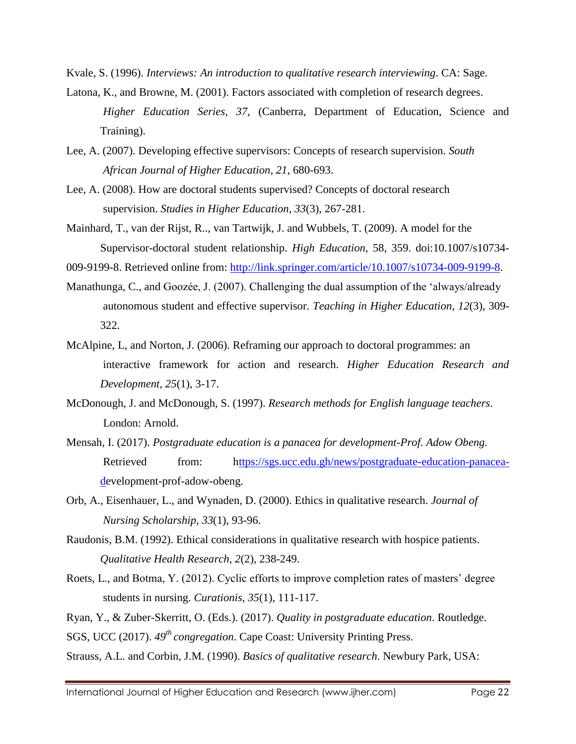Kvale, S. (1996). *Interviews: An introduction to qualitative research interviewing*. CA: Sage.

- Latona, K., and Browne, M. (2001). Factors associated with completion of research degrees. *Higher Education Series, 37,* (Canberra, Department of Education, Science and Training).
- Lee, A. (2007). Developing effective supervisors: Concepts of research supervision. *South African Journal of Higher Education, 21,* 680-693.
- Lee, A. (2008). How are doctoral students supervised? Concepts of doctoral research supervision. *Studies in Higher Education, 33*(3), 267-281.
- Mainhard, T., van der Rijst, R.., van Tartwijk, J. and Wubbels, T. (2009). A model for the Supervisor-doctoral student relationship. *High Education,* 58, 359. doi:10.1007/s10734-

009-9199-8. Retrieved online from: [http://link.springer.com/article/10.1007/s10734-009-9199-8.](http://link.springer.com/article/10.1007/s10734-009-9199-8)

- Manathunga, C., and Goozée, J. (2007). Challenging the dual assumption of the 'always/already autonomous student and effective supervisor. *Teaching in Higher Education*, *12*(3), 309- 322.
- McAlpine, L, and Norton, J. (2006). Reframing our approach to doctoral programmes: an interactive framework for action and research. *Higher Education Research and Development, 25*(1), 3-17.
- McDonough, J. and McDonough, S. (1997). *Research methods for English language teachers*. London: Arnold.
- Mensah, I. (2017). *Postgraduate education is a panacea for development-Prof. Adow Obeng.* Retrieved from: [https://sgs.ucc.edu.gh/news/postgraduate-education-panacea](ttps://sgs.ucc.edu.gh/news/postgraduate-education-panacea-d)[de](ttps://sgs.ucc.edu.gh/news/postgraduate-education-panacea-d)velopment-prof-adow-obeng.
- Orb, A., Eisenhauer, L., and Wynaden, D. (2000). Ethics in qualitative research. *Journal of Nursing Scholarship, 33*(1), 93-96.
- Raudonis, B.M. (1992). Ethical considerations in qualitative research with hospice patients. *Qualitative Health Research, 2*(2), 238-249.
- Roets, L., and Botma, Y. (2012). Cyclic efforts to improve completion rates of masters' degree students in nursing. *Curationis, 35*(1), 111-117.

Ryan, Y., & Zuber-Skerritt, O. (Eds.). (2017). *Quality in postgraduate education*. Routledge. SGS, UCC (2017). *49th congregation*. Cape Coast: University Printing Press.

Strauss, A.L. and Corbin, J.M. (1990). *Basics of qualitative research*. Newbury Park, USA: